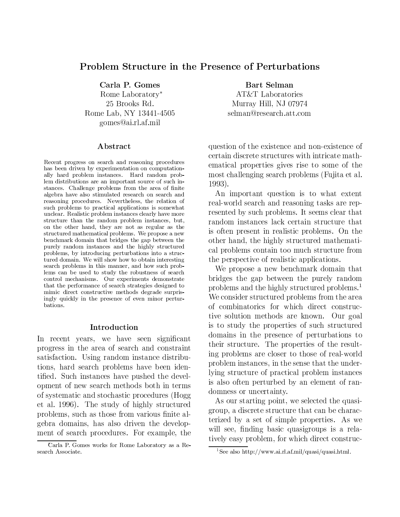### Problem Structure in the Presence of Perturbations

Carla P. Gomes Rome Laboratory\*

25 Brooks Rd. Rome Lab, NY 13441-4505 gomes@ai.rl.af.mil

#### Abstract

Recent progress on search and reasoning procedures has been driven by experimentation on computationally hard problem instances. Hard random problem distributions are an important source of such instances. Challenge problems from the area of finite algebra have also stimulated research on search and reasoning procedures. Nevertheless, the relation of such problems to practical applications is somewhat unclear. Realistic problem instances clearly have more structure than the random problem instances, but, on the other hand, they are not as regular as the structured mathematical problems. We propose a new benchmark domain that bridges the gap between the purely random instances and the highly structured problems, by introducing perturbations into a structured domain. We will show how to obtain interesting search problems in this manner, and how such problems can be used to study the robustness of search control mechanisms. Our experiments demonstrate that the performance of search strategies designed to mimic direct constructive methods degrade surprisingly quickly in the presence of even minor perturbations.

#### Introduction

In recent years, we have seen significant progress in the area of search and constraint satisfaction. Using random instance distributions, hard search problems have been identified. Such instances have pushed the development of new search methods both in terms of systematic and stochastic procedures (Hogg et al. 1996). The study of highly structured problems, such as those from various finite algebra domains, has also driven the development of search procedures. For example, the

Bart Selman AT&T Laboratories Murray Hill, NJ 07974 selman@research.att.com

question of the existence and non-existence of certain discrete structures with intricate mathematical properties gives rise to some of the most challenging search problems (Fujita et al.  $1993$ ).

An important question is to what extent real-world search and reasoning tasks are represented by such problems. It seems clear that random instances lack certain structure that is often present in realistic problems. On the other hand, the highly structured mathematical problems contain too much structure from the perspective of realistic applications.

We propose a new benchmark domain that bridges the gap between the purely random problems and the highly structured problems.<sup>1</sup> We consider structured problems from the area of combinatorics for which direct constructive solution methods are known. Our goal is to study the properties of such structured domains in the presence of perturbations to their structure. The properties of the resulting problems are closer to those of real-world problem instances, in the sense that the underlying structure of practical problem instances is also often perturbed by an element of randomness or uncertainty.

As our starting point, we selected the quasigroup, a discrete structure that can be characterized by a set of simple properties. As we will see, finding basic quasigroups is a relatively easy problem, for which direct construc-

Carla P. Gomes works for Rome Laboratory as a Research Associate.

<sup>&</sup>lt;sup>1</sup>See also http://www.ai.rl.af.mil/quasi/quasi.html.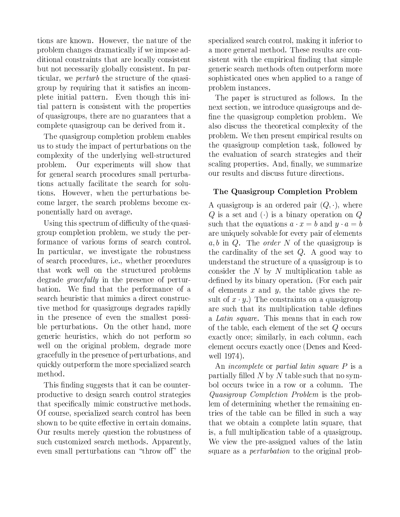tions are known. However, the nature of the problem changes dramatically if we impose additional constraints that are locally consistent but not necessarily globally consistent. In particular, we *perturb* the structure of the quasigroup by requiring that it satisfies an incomplete initial pattern. Even though this initial pattern is consistent with the properties of quasigroups, there are no guarantees that a complete quasigroup can be derived from it.

The quasigroup completion problem enables us to study the impact of perturbations on the complexity of the underlying well-structured Our experiments will show that problem. for general search procedures small perturbations actually facilitate the search for solutions. However, when the perturbations become larger, the search problems become exponentially hard on average.

Using this spectrum of difficulty of the quasigroup completion problem, we study the performance of various forms of search control. In particular, we investigate the robustness of search procedures, *i.e.*, whether procedures that work well on the structured problems degrade *gracefully* in the presence of perturbation. We find that the performance of a search heuristic that mimics a direct constructive method for quasigroups degrades rapidly in the presence of even the smallest possible perturbations. On the other hand, more generic heuristics, which do not perform so well on the original problem, degrade more gracefully in the presence of perturbations, and quickly outperform the more specialized search method.

This finding suggests that it can be counterproductive to design search control strategies that specifically mimic constructive methods. Of course, specialized search control has been shown to be quite effective in certain domains. Our results merely question the robustness of such customized search methods. Apparently, even small perturbations can "throw off" the

specialized search control, making it inferior to a more general method. These results are consistent with the empirical finding that simple generic search methods often outperform more sophisticated ones when applied to a range of problem instances.

The paper is structured as follows. In the next section, we introduce quasigroups and define the quasigroup completion problem. We also discuss the theoretical complexity of the problem. We then present empirical results on the quasigroup completion task, followed by the evaluation of search strategies and their scaling properties. And, finally, we summarize our results and discuss future directions.

# The Quasigroup Completion Problem

A quasigroup is an ordered pair  $(Q, \cdot)$ , where Q is a set and (.) is a binary operation on Q such that the equations  $a \cdot x = b$  and  $y \cdot a = b$ are uniquely solvable for every pair of elements  $a, b$  in Q. The *order* N of the quasigroup is the cardinality of the set  $Q$ . A good way to understand the structure of a quasigroup is to consider the  $N$  by  $N$  multiplication table as defined by its binary operation. (For each pair of elements  $x$  and  $y$ , the table gives the result of  $x \cdot y$ .) The constraints on a quasigroup are such that its multiplication table defines a Latin square. This means that in each row of the table, each element of the set  $Q$  occurs exactly once; similarly, in each column, each element occurs exactly once (Denes and Keedwell 1974).

An *incomplete* or *partial latin square*  $P$  is a partially filled  $N$  by  $N$  table such that no symbol occurs twice in a row or a column. The Quasigroup Completion Problem is the problem of determining whether the remaining entries of the table can be filled in such a way that we obtain a complete latin square, that is, a full multiplication table of a quasigroup. We view the pre-assigned values of the latin square as a *perturbation* to the original prob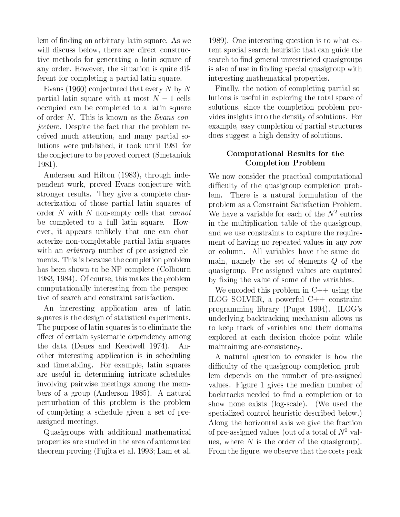lem of finding an arbitrary latin square. As we will discuss below, there are direct constructive methods for generating a latin square of any order. However, the situation is quite different for completing a partial latin square.

Evans (1960) conjectured that every N by N partial latin square with at most  $N-1$  cells occupied can be completed to a latin square of order N. This is known as the Evans con*jecture*. Despite the fact that the problem received much attention, and many partial solutions were published, it took until 1981 for the conjecture to be proved correct (Smetaniuk 1981).

Andersen and Hilton (1983), through independent work, proved Evans conjecture with stronger results. They give a complete characterization of those partial latin squares of order  $N$  with  $N$  non-empty cells that *cannot* be completed to a full latin square. However, it appears unlikely that one can characterize non-completable partial latin squares with an *arbitrary* number of pre-assigned elements. This is because the completion problem has been shown to be NP-complete (Colbourn 1983, 1984). Of course, this makes the problem computationally interesting from the perspective of search and constraint satisfaction.

An interesting application area of latin squares is the design of statistical experiments. The purpose of latin squares is to eliminate the effect of certain systematic dependency among the data (Denes and Keedwell 1974). Another interesting application is in scheduling and timetabling. For example, latin squares are useful in determining intricate schedules involving pairwise meetings among the members of a group (Anderson 1985). A natural perturbation of this problem is the problem of completing a schedule given a set of preassigned meetings.

Quasigroups with additional mathematical properties are studied in the area of automated theorem proving (Fujita et al. 1993; Lam et al.

1989). One interesting question is to what extent special search heuristic that can guide the search to find general unrestricted quasigroups is also of use in finding special quasigroup with interesting mathematical properties.

Finally, the notion of completing partial solutions is useful in exploring the total space of solutions, since the completion problem provides insights into the density of solutions. For example, easy completion of partial structures does suggest a high density of solutions.

# Computational Results for the **Completion Problem**

We now consider the practical computational difficulty of the quasigroup completion prob-There is a natural formulation of the lem. problem as a Constraint Satisfaction Problem. We have a variable for each of the  $N^2$  entries in the multiplication table of the quasigroup. and we use constraints to capture the requirement of having no repeated values in any row or column. All variables have the same domain, namely the set of elements  $Q$  of the quasigroup. Pre-assigned values are captured by fixing the value of some of the variables.

We encoded this problem in  $C++$  using the ILOG SOLVER, a powerful  $C++$  constraint programming library (Puget 1994). ILOG's underlying backtracking mechanism allows us to keep track of variables and their domains explored at each decision choice point while maintaining arc-consistency.

A natural question to consider is how the difficulty of the quasigroup completion problem depends on the number of pre-assigned values. Figure 1 gives the median number of backtracks needed to find a completion or to show none exists (log-scale). (We used the specialized control heuristic described below.) Along the horizontal axis we give the fraction of pre-assigned values (out of a total of  $N^2$  values, where  $N$  is the order of the quasigroup). From the figure, we observe that the costs peak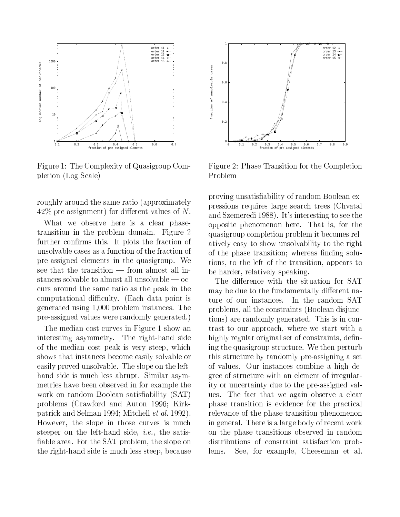

Figure 1: The Complexity of Quasigroup Completion (Log Scale)

roughly around the same ratio (approximately  $42\%$  pre-assignment) for different values of N.

What we observe here is a clear phasetransition in the problem domain. Figure 2 further confirms this. It plots the fraction of unsolvable cases as a function of the fraction of pre-assigned elements in the quasigroup. We see that the transition — from almost all instances solvable to almost all unsolvable  $-$  occurs around the same ratio as the peak in the computational difficulty. (Each data point is generated using 1,000 problem instances. The pre-assigned values were randomly generated.)

The median cost curves in Figure 1 show an interesting asymmetry. The right-hand side of the median cost peak is very steep, which shows that instances become easily solvable or easily proved unsolvable. The slope on the lefthand side is much less abrupt. Similar asymmetries have been observed in for example the work on random Boolean satisfiability (SAT) problems (Crawford and Auton 1996; Kirkpatrick and Selman 1994; Mitchell *et al.* 1992). However, the slope in those curves is much steeper on the left-hand side, *i.e.*, the satisfiable area. For the SAT problem, the slope on the right-hand side is much less steep, because



Figure 2: Phase Transition for the Completion Problem

proving unsatisfiability of random Boolean expressions requires large search trees (Chvatal and Szemeredi 1988). It's interesting to see the opposite phenomenon here. That is, for the quasigroup completion problem it becomes relatively easy to show unsolvability to the right of the phase transition; whereas finding solutions, to the left of the transition, appears to be harder, relatively speaking.

The difference with the situation for SAT may be due to the fundamentally different nature of our instances. In the random SAT problems, all the constraints (Boolean disjunctions) are randomly generated. This is in contrast to our approach, where we start with a highly regular original set of constraints, defining the quasigroup structure. We then perturb this structure by randomly pre-assigning a set of values. Our instances combine a high degree of structure with an element of irregularity or uncertainty due to the pre-assigned values. The fact that we again observe a clear phase transition is evidence for the practical relevance of the phase transition phenomenon in general. There is a large body of recent work on the phase transitions observed in random distributions of constraint satisfaction prob-See, for example, Cheeseman et al. lems.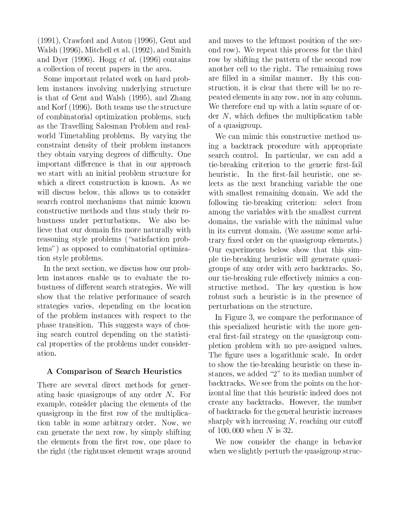$(1991)$ , Crawford and Auton  $(1996)$ , Gent and Walsh (1996), Mitchell et al. (1992), and Smith and Dyer (1996). Hogg *et al.* (1996) contains a collection of recent papers in the area.

Some important related work on hard problem instances involving underlying structure is that of Gent and Walsh (1995), and Zhang and Korf (1996). Both teams use the structure of combinatorial optimization problems, such as the Travelling Salesman Problem and realworld Timetabling problems. By varying the constraint density of their problem instances they obtain varying degrees of difficulty. One important difference is that in our approach we start with an initial problem structure for which a direct construction is known. As we will discuss below, this allows us to consider search control mechanisms that mimic known constructive methods and thus study their robustness under perturbations. We also believe that our domain fits more naturally with reasoning style problems ("satisfaction problems") as opposed to combinatorial optimization style problems.

In the next section, we discuss how our problem instances enable us to evaluate the robustness of different search strategies. We will show that the relative performance of search strategies varies, depending on the location of the problem instances with respect to the phase transition. This suggests ways of chosing search control depending on the statistical properties of the problems under consideration.

# A Comparison of Search Heuristics

There are several direct methods for generating basic quasigroups of any order  $N$ . For example, consider placing the elements of the quasigroup in the first row of the multiplication table in some arbitrary order. Now, we can generate the next row, by simply shifting the elements from the first row, one place to the right (the rightmost element wraps around

and moves to the leftmost position of the second row). We repeat this process for the third row by shifting the pattern of the second row another cell to the right. The remaining rows are filled in a similar manner. By this construction, it is clear that there will be no repeated elements in any row, nor in any column. We therefore end up with a latin square of order  $N$ , which defines the multiplication table of a quasigroup.

We can mimic this constructive method using a backtrack procedure with appropriate search control. In particular, we can add a tie-breaking criterion to the generic first-fail heuristic. In the first-fail heuristic, one selects as the next branching variable the one with smallest remaining domain. We add the following tie-breaking criterion: select from among the variables with the smallest current domains, the variable with the minimal value in its current domain. (We assume some arbitrary fixed order on the quasigroup elements.) Our experiments below show that this simple tie-breaking heuristic will generate quasigroups of any order with zero backtracks. So, our tie-breaking rule effectively mimics a constructive method. The key question is how robust such a heuristic is in the presence of perturbations on the structure.

In Figure 3, we compare the performance of this specialized heuristic with the more general first-fail strategy on the quasigroup completion problem with no pre-assigned values. The figure uses a logarithmic scale. In order to show the tie-breaking heuristic on these instances, we added "2" to its median number of backtracks. We see from the points on the horizontal line that this heuristic indeed does not create any backtracks. However, the number of backtracks for the general heuristic increases sharply with increasing  $N$ , reaching our cutoff of 100,000 when N is 32.

We now consider the change in behavior when we slightly perturb the quasigroup struc-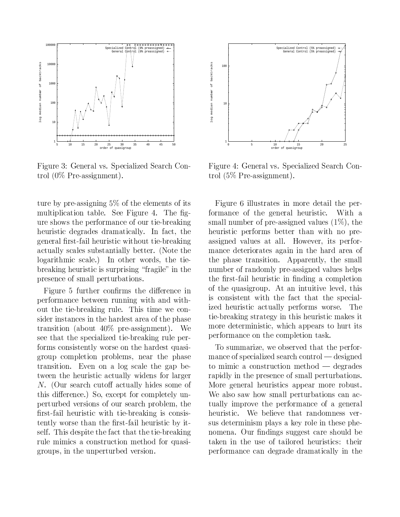

Figure 3: General vs. Specialized Search Control  $(0\%$  Pre-assignment).

ture by pre-assigning  $5\%$  of the elements of its multiplication table. See Figure 4. The figure shows the performance of our tie-breaking heuristic degrades dramatically. In fact, the general first-fail heuristic without tie-breaking actually scales substantially better. (Note the logarithmic scale.) In other words, the tiebreaking heuristic is surprising "fragile" in the presence of small perturbations.

Figure 5 further confirms the difference in performance between running with and without the tie-breaking rule. This time we consider instances in the hardest area of the phase transition (about  $40\%$  pre-assignment). We see that the specialized tie-breaking rule performs consistently worse on the hardest quasigroup completion problems, near the phase transition. Even on a log scale the gap between the heuristic actually widens for larger  $N.$  (Our search cutoff actually hides some of this difference.) So, except for completely unperturbed versions of our search problem, the first-fail heuristic with tie-breaking is consistently worse than the first-fail heuristic by itself. This despite the fact that the tie-breaking rule mimics a construction method for quasigroups, in the unperturbed version.



Figure 4: General vs. Specialized Search Control  $(5\%$  Pre-assignment).

Figure 6 illustrates in more detail the performance of the general heuristic. With a small number of pre-assigned values  $(1\%)$ , the heuristic performs better than with no preassigned values at all. However, its performance deteriorates again in the hard area of the phase transition. Apparently, the small number of randomly pre-assigned values helps the first-fail heuristic in finding a completion of the quasigroup. At an intuitive level, this is consistent with the fact that the specialized heuristic actually performs worse. The tie breaking strategy in this heuristic makes it more deterministic, which appears to hurt its performance on the completion task.

To summarize, we observed that the performance of specialized search control — designed to mimic a construction method  $-$  degrades rapidly in the presence of small perturbations. More general heuristics appear more robust. We also saw how small perturbations can actually improve the performance of a general heuristic. We believe that randomness versus determinism plays a key role in these phenomena. Our findings suggest care should be taken in the use of tailored heuristics: their performance can degrade dramatically in the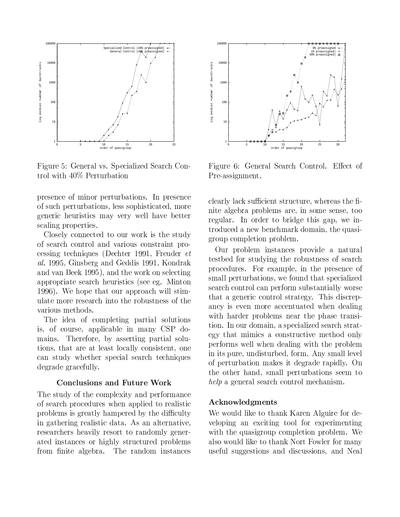

Figure 5: General vs. Specialized Search Control with 40% Perturbation

presence of minor perturbations. In presence of such perturbations, less sophisticated, more generic heuristics may very well have better scaling properties.

Closely connected to our work is the study of search control and various constraint processing techniques (Dechter 1991, Freuder *et* al. 1995. Ginsberg and Geddis 1991. Kondrak and van Beek 1995), and the work on selecting appropriate search heuristics (see eg. Minton 1996). We hope that our approach will stimulate more research into the robustness of the various methods.

The idea of completing partial solutions is, of course, applicable in many CSP domains. Therefore, by asserting partial solutions, that are at least locally consistent, one can study whether special search techniques degrade gracefully.

#### **Conclusions and Future Work**

The study of the complexity and performance of search procedures when applied to realistic problems is greatly hampered by the difficulty in gathering realistic data. As an alternative, researchers heavily resort to randomly generated instances or highly structured problems from finite algebra. The random instances



Figure 6: General Search Control. Effect of Pre-assignment.

clearly lack sufficient structure, whereas the finite algebra problems are, in some sense, too regular. In order to bridge this gap, we introduced a new benchmark domain, the quasigroup completion problem.

Our problem instances provide a natural testbed for studying the robustness of search procedures. For example, in the presence of small perturbations, we found that specialized search control can perform substantially worse that a generic control strategy. This discrepancy is even more accentuated when dealing with harder problems near the phase transition. In our domain, a specialized search strategy that mimics a constructive method only performs well when dealing with the problem in its pure, undisturbed, form. Any small level of perturbation makes it degrade rapidly. On the other hand, small perturbations seem to help a general search control mechanism.

### Acknowledgments

We would like to thank Karen Alguire for developing an exciting tool for experimenting with the quasigroup completion problem. We also would like to thank Nort Fowler for many useful suggestions and discussions, and Neal